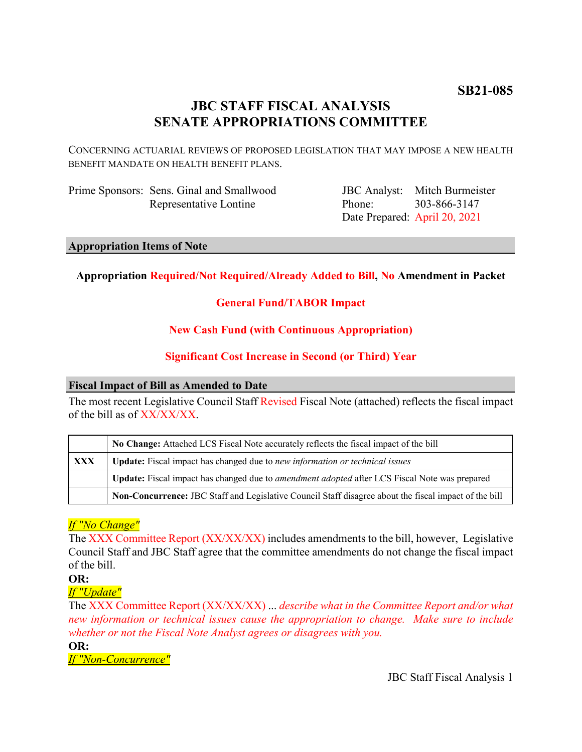# **JBC STAFF FISCAL ANALYSIS SENATE APPROPRIATIONS COMMITTEE**

CONCERNING ACTUARIAL REVIEWS OF PROPOSED LEGISLATION THAT MAY IMPOSE A NEW HEALTH BENEFIT MANDATE ON HEALTH BENEFIT PLANS.

Prime Sponsors: Sens. Ginal and Smallwood Representative Lontine

JBC Analyst: Mitch Burmeister Phone: Date Prepared: April 20, 2021 303-866-3147

# **Appropriation Items of Note**

# **Appropriation Required/Not Required/Already Added to Bill, No Amendment in Packet**

# **General Fund/TABOR Impact**

# **New Cash Fund (with Continuous Appropriation)**

# **Significant Cost Increase in Second (or Third) Year**

# **Fiscal Impact of Bill as Amended to Date**

The most recent Legislative Council Staff Revised Fiscal Note (attached) reflects the fiscal impact of the bill as of XX/XX/XX.

|            | No Change: Attached LCS Fiscal Note accurately reflects the fiscal impact of the bill                 |  |  |  |
|------------|-------------------------------------------------------------------------------------------------------|--|--|--|
| <b>XXX</b> | Update: Fiscal impact has changed due to new information or technical issues                          |  |  |  |
|            | Update: Fiscal impact has changed due to <i>amendment adopted</i> after LCS Fiscal Note was prepared  |  |  |  |
|            | Non-Concurrence: JBC Staff and Legislative Council Staff disagree about the fiscal impact of the bill |  |  |  |

# *If "No Change"*

The XXX Committee Report (XX/XX/XX) includes amendments to the bill, however, Legislative Council Staff and JBC Staff agree that the committee amendments do not change the fiscal impact of the bill.

# **OR:**

# *If "Update"*

The XXX Committee Report (XX/XX/XX) ... *describe what in the Committee Report and/or what new information or technical issues cause the appropriation to change. Make sure to include whether or not the Fiscal Note Analyst agrees or disagrees with you.*

**OR:**

*If "Non-Concurrence"*

JBC Staff Fiscal Analysis 1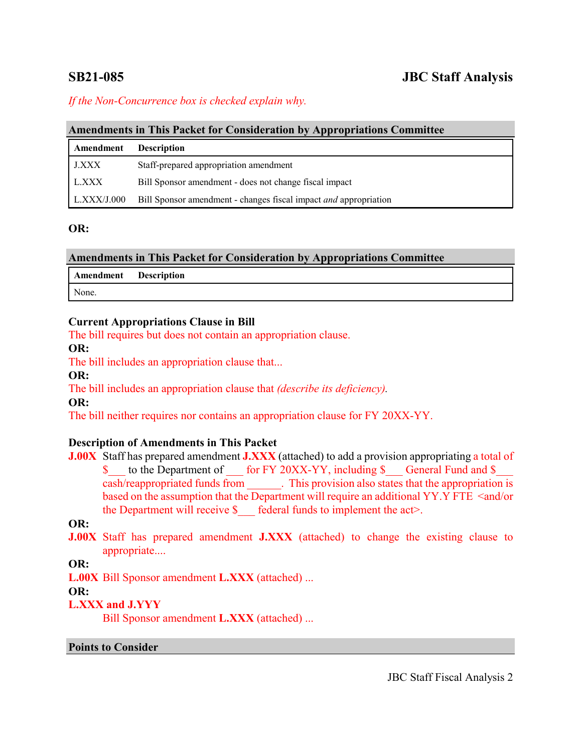# **SB21-085 JBC Staff Analysis**

# *If the Non-Concurrence box is checked explain why.*

#### **Amendments in This Packet for Consideration by Appropriations Committee**

| Amendment   | <b>Description</b>                                               |
|-------------|------------------------------------------------------------------|
| J.XXX       | Staff-prepared appropriation amendment                           |
| L.XXX       | Bill Sponsor amendment - does not change fiscal impact           |
| L.XXX/J.000 | Bill Sponsor amendment - changes fiscal impact and appropriation |

#### **OR:**

| <b>Amendments in This Packet for Consideration by Appropriations Committee</b> |  |  |  |  |  |
|--------------------------------------------------------------------------------|--|--|--|--|--|
|--------------------------------------------------------------------------------|--|--|--|--|--|

| Amendment Description |  |  |  |
|-----------------------|--|--|--|
| None.                 |  |  |  |

### **Current Appropriations Clause in Bill**

The bill requires but does not contain an appropriation clause.

### **OR:**

The bill includes an appropriation clause that...

**OR:**

The bill includes an appropriation clause that *(describe its deficiency).*

### **OR:**

The bill neither requires nor contains an appropriation clause for FY 20XX-YY.

# **Description of Amendments in This Packet**

**J.00X** Staff has prepared amendment **J.XXX** (attached) to add a provision appropriating a total of \$ to the Department of for FY 20XX-YY, including \$ General Fund and \$ cash/reappropriated funds from \_\_\_\_\_\_. This provision also states that the appropriation is based on the assumption that the Department will require an additional YY.Y FTE <and/or the Department will receive  $\oint$  federal funds to implement the act>.

# **OR:**

**J.00X** Staff has prepared amendment **J.XXX** (attached) to change the existing clause to appropriate....

**OR:**

**L.00X** Bill Sponsor amendment **L.XXX** (attached) ...

# **OR:**

# **L.XXX and J.YYY**

Bill Sponsor amendment **L.XXX** (attached) ...

#### **Points to Consider**

JBC Staff Fiscal Analysis 2